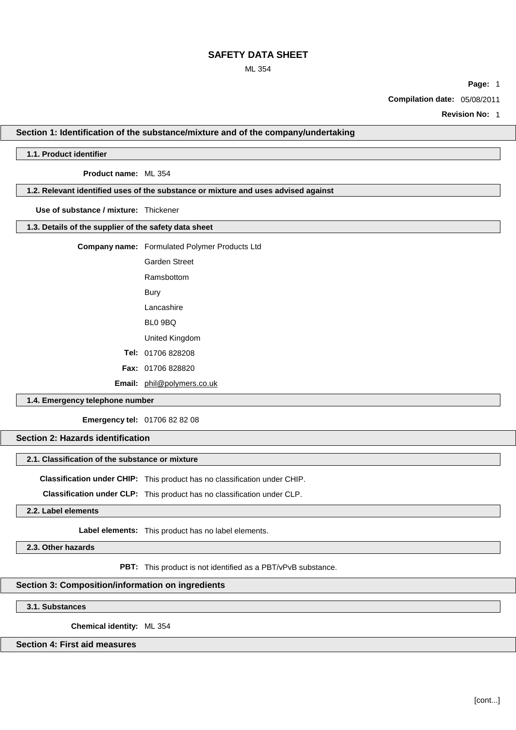## ML 354

**Page:** 1

**Compilation date:** 05/08/2011

**Revision No:** 1

### **Section 1: Identification of the substance/mixture and of the company/undertaking**

## **1.1. Product identifier**

**Product name:** ML 354

## **1.2. Relevant identified uses of the substance or mixture and uses advised against**

**Use of substance / mixture:** Thickener

## **1.3. Details of the supplier of the safety data sheet**

**Company name:** Formulated Polymer Products Ltd

Garden Street

Ramsbottom

Bury

Lancashire

BL0 9BQ

United Kingdom

**Tel:** 01706 828208

**Fax:** 01706 828820

**Email:** [phil@polymers.co.uk](mailto:phil@polymers.co.uk)

## **1.4. Emergency telephone number**

**Emergency tel:** 01706 82 82 08

### **Section 2: Hazards identification**

### **2.1. Classification of the substance or mixture**

**Classification under CHIP:** This product has no classification under CHIP.

**Classification under CLP:** This product has no classification under CLP.

**2.2. Label elements**

**Label elements:** This product has no label elements.

**2.3. Other hazards**

**PBT:** This product is not identified as a PBT/vPvB substance.

# **Section 3: Composition/information on ingredients**

**3.1. Substances**

**Chemical identity:** ML 354

# **Section 4: First aid measures**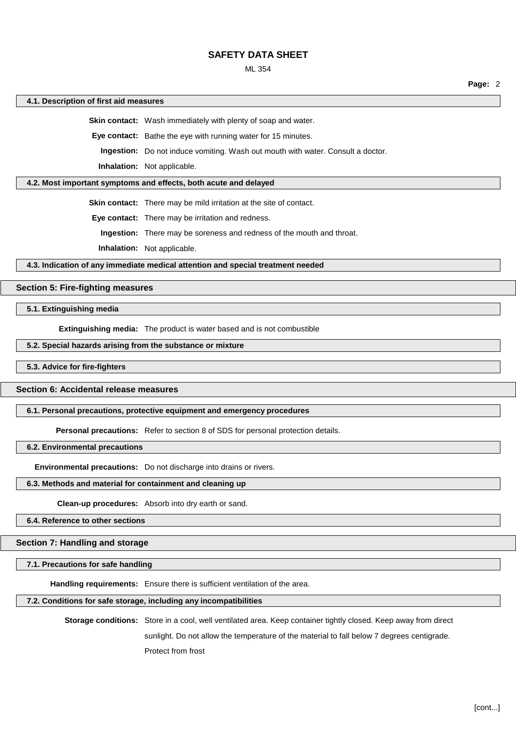### ML 354

**Page:** 2

#### **4.1. Description of first aid measures**

**Skin contact:** Wash immediately with plenty of soap and water.

**Eye contact:** Bathe the eye with running water for 15 minutes.

**Ingestion:** Do not induce vomiting. Wash out mouth with water. Consult a doctor.

**Inhalation:** Not applicable.

## **4.2. Most important symptoms and effects, both acute and delayed**

**Skin contact:** There may be mild irritation at the site of contact.

**Eye contact:** There may be irritation and redness.

**Ingestion:** There may be soreness and redness of the mouth and throat.

**Inhalation:** Not applicable.

**4.3. Indication of any immediate medical attention and special treatment needed**

### **Section 5: Fire-fighting measures**

## **5.1. Extinguishing media**

**Extinguishing media:** The product is water based and is not combustible

## **5.2. Special hazards arising from the substance or mixture**

### **5.3. Advice for fire-fighters**

### **Section 6: Accidental release measures**

#### **6.1. Personal precautions, protective equipment and emergency procedures**

**Personal precautions:** Refer to section 8 of SDS for personal protection details.

## **6.2. Environmental precautions**

**Environmental precautions:** Do not discharge into drains or rivers.

#### **6.3. Methods and material for containment and cleaning up**

**Clean-up procedures:** Absorb into dry earth or sand.

## **6.4. Reference to other sections**

### **Section 7: Handling and storage**

## **7.1. Precautions for safe handling**

**Handling requirements:** Ensure there is sufficient ventilation of the area.

## **7.2. Conditions for safe storage, including any incompatibilities**

**Storage conditions:** Store in a cool, well ventilated area. Keep container tightly closed. Keep away from direct sunlight. Do not allow the temperature of the material to fall below 7 degrees centigrade.

Protect from frost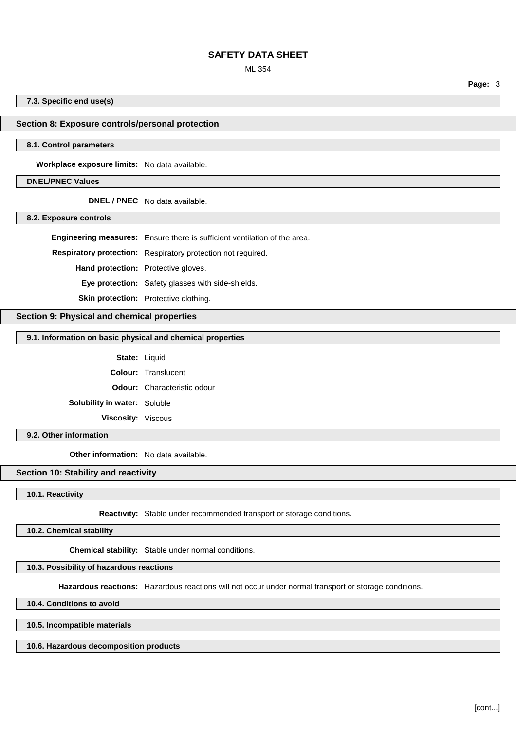## ML 354

**7.3. Specific end use(s)**

## **Section 8: Exposure controls/personal protection**

#### **8.1. Control parameters**

**Workplace exposure limits:** No data available.

## **DNEL/PNEC Values**

**DNEL / PNEC** No data available.

#### **8.2. Exposure controls**

**Engineering measures:** Ensure there is sufficient ventilation of the area.

**Respiratory protection:** Respiratory protection not required.

**Hand protection:** Protective gloves.

**Eye protection:** Safety glasses with side-shields.

**Skin protection:** Protective clothing.

### **Section 9: Physical and chemical properties**

### **9.1. Information on basic physical and chemical properties**

**State:** Liquid

**Colour:** Translucent

**Odour:** Characteristic odour

**Solubility in water:** Soluble

**Viscosity:** Viscous

## **9.2. Other information**

**Other information:** No data available.

## **Section 10: Stability and reactivity**

**10.1. Reactivity**

**Reactivity:** Stable under recommended transport or storage conditions.

**10.2. Chemical stability**

**Chemical stability:** Stable under normal conditions.

## **10.3. Possibility of hazardous reactions**

**Hazardous reactions:** Hazardous reactions will not occur under normal transport or storage conditions.

**10.4. Conditions to avoid**

**10.5. Incompatible materials**

**10.6. Hazardous decomposition products**

**Page:** 3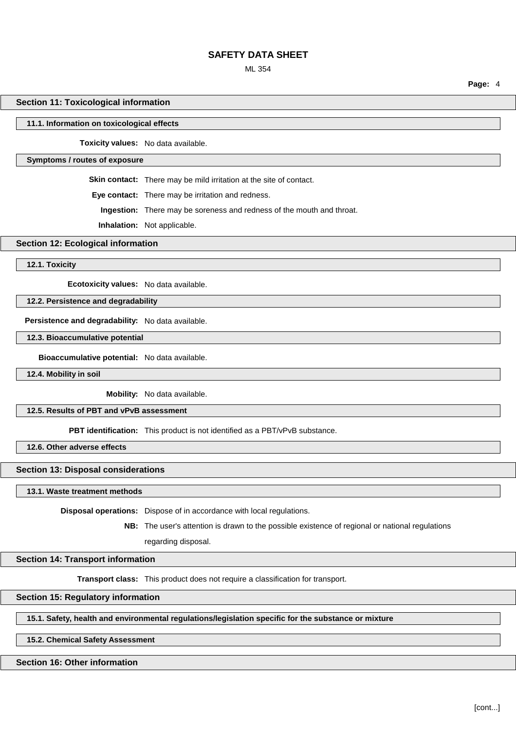### ML 354

**Page:** 4

### **Section 11: Toxicological information**

#### **11.1. Information on toxicological effects**

**Toxicity values:** No data available.

#### **Symptoms / routes of exposure**

**Skin contact:** There may be mild irritation at the site of contact.

**Eye contact:** There may be irritation and redness.

**Ingestion:** There may be soreness and redness of the mouth and throat.

**Inhalation:** Not applicable.

## **Section 12: Ecological information**

**12.1. Toxicity**

**Ecotoxicity values:** No data available.

## **12.2. Persistence and degradability**

**Persistence and degradability:** No data available.

## **12.3. Bioaccumulative potential**

**Bioaccumulative potential:** No data available.

**12.4. Mobility in soil**

**Mobility:** No data available.

### **12.5. Results of PBT and vPvB assessment**

**PBT identification:** This product is not identified as a PBT/vPvB substance.

**12.6. Other adverse effects**

### **Section 13: Disposal considerations**

**13.1. Waste treatment methods**

**Disposal operations:** Dispose of in accordance with local regulations.

**NB:** The user's attention is drawn to the possible existence of regional or national regulations regarding disposal.

#### **Section 14: Transport information**

**Transport class:** This product does not require a classification for transport.

## **Section 15: Regulatory information**

**15.1. Safety, health and environmental regulations/legislation specific for the substance or mixture**

## **15.2. Chemical Safety Assessment**

## **Section 16: Other information**